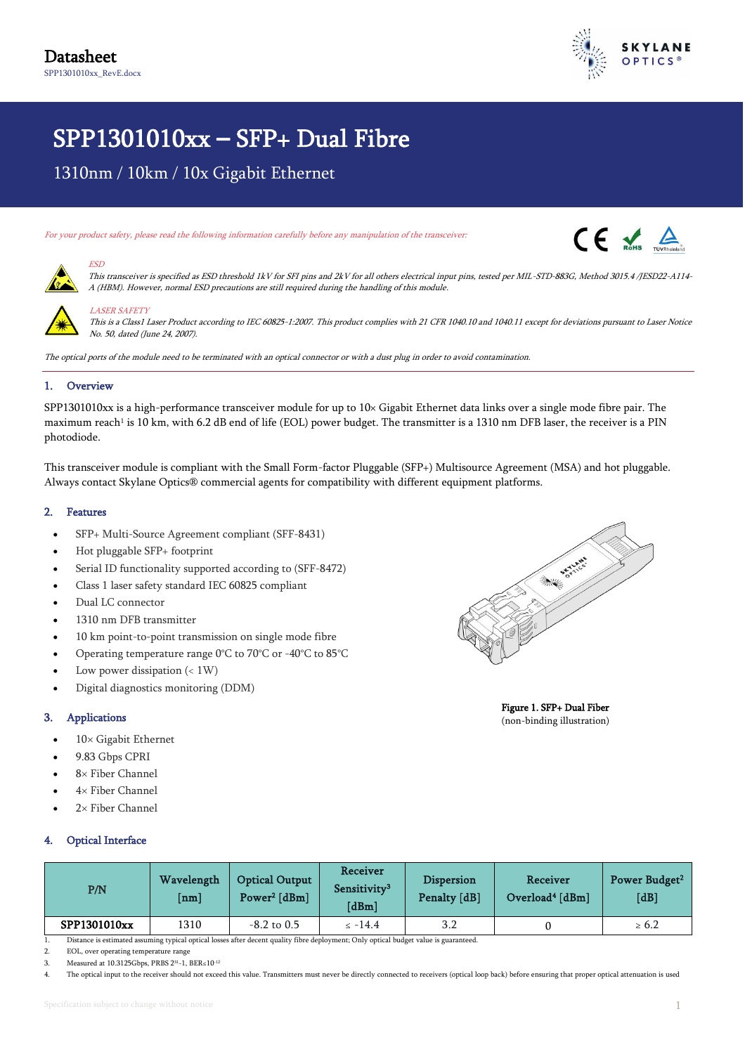

# SPP1301010xx **–** SFP+ Dual Fibre

1310nm / 10km / 10x Gigabit Ethernet

For your product safety, please read the following information carefully before any manipulation of the transceiver:

A (HBM). However, normal ESD precautions are still required during the handling of this module.





#### LASER SAFETY

ESD

This is a Class1 Laser Product according to IEC 60825-1:2007. This product complies with 21 CFR 1040.10 and 1040.11 except for deviations pursuant to Laser Notice No. 50, dated (June 24, 2007).

This transceiver is specified as ESD threshold 1kV for SFI pins and 2kV for all others electrical input pins, tested per MIL-STD-883G, Method 3015.4 /JESD22-A114-

The optical ports of the module need to be terminated with an optical connector or with a dust plug in order to avoid contamination.

#### 1. Overview

SPP1301010xx is a high-performance transceiver module for up to 10× Gigabit Ethernet data links over a single mode fibre pair. The maximum reach<sup>1</sup> is 10 km, with 6.2 dB end of life (EOL) power budget. The transmitter is a 1310 nm DFB laser, the receiver is a PIN photodiode.

This transceiver module is compliant with the Small Form-factor Pluggable (SFP+) Multisource Agreement (MSA) and hot pluggable. Always contact Skylane Optics® commercial agents for compatibility with different equipment platforms.

#### 2. Features

- SFP+ Multi-Source Agreement compliant (SFF-8431)
- Hot pluggable SFP+ footprint
- Serial ID functionality supported according to (SFF-8472)
- Class 1 laser safety standard IEC 60825 compliant
- Dual LC connector
- 1310 nm DFB transmitter
- 10 km point-to-point transmission on single mode fibre
- Operating temperature range 0°C to 70°C or -40°C to 85°C
- Low power dissipation  $(< 1W)$
- Digital diagnostics monitoring (DDM)

#### 3. Applications

- $10\times$  Gigabit Ethernet
- 9.83 Gbps CPRI
- 8× Fiber Channel
- $4\times$  Fiber Channel
- $2\times$  Fiber Channel

#### Optical Interface



Figure 1. SFP+ Dual Fiber (non-binding illustration)

| P/N          | Wavelength<br>$\lceil nm \rceil$ | <b>Optical Output</b><br>Power <sup>2</sup> [dBm] | Receiver<br>Sensitivity <sup>3</sup><br>$\lfloor dBm \rfloor$ | Dispersion<br>Penalty [dB] | Receiver<br>Overload <sup>4</sup> [dBm] | Power Budget <sup>2</sup><br>[dB] |
|--------------|----------------------------------|---------------------------------------------------|---------------------------------------------------------------|----------------------------|-----------------------------------------|-----------------------------------|
| SPP1301010xx | 1310                             | $-8.2$ to 0.5                                     | $\le -14.4$                                                   | 3.2                        |                                         | $\geq 6.2$                        |

1. Distance is estimated assuming typical optical losses after decent quality fibre deployment; Only optical budget value is guaranteed.

2. EOL, over operating temperature range 3. Measured at 10.3125Gbps, PRBS  $2^{31}$ -1, BER≤10<sup>-12</sup>

4. The optical input to the receiver should not exceed this value. Transmitters must never be directly connected to receivers (optical loop back) before ensuring that proper optical attenuation is used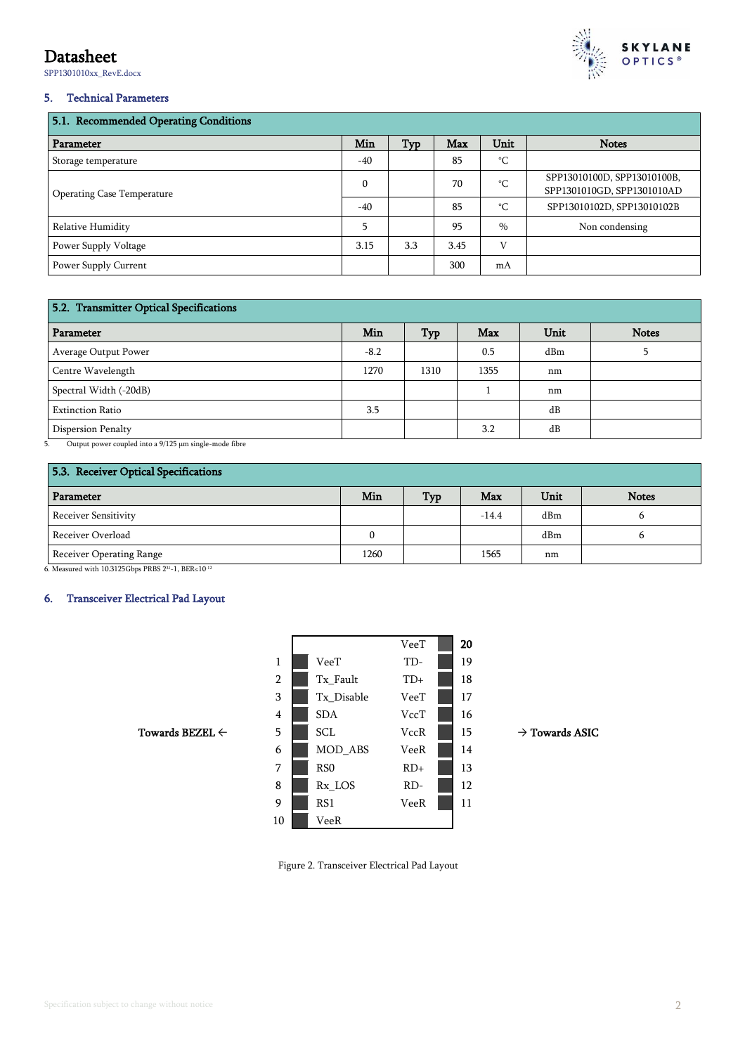# Datasheet

SPP1301010xx\_RevE.docx



#### 5. Technical Parameters

| 5.1. Recommended Operating Conditions |              |     |            |               |                                                           |  |  |
|---------------------------------------|--------------|-----|------------|---------------|-----------------------------------------------------------|--|--|
| Parameter                             | Min          | Typ | <b>Max</b> | Unit          | <b>Notes</b>                                              |  |  |
| Storage temperature                   | $-40$        |     | 85         | °C            |                                                           |  |  |
| Operating Case Temperature            | $\mathbf{0}$ |     | 70         | °C.           | SPP13010100D, SPP13010100B,<br>SPP1301010GD, SPP1301010AD |  |  |
|                                       | $-40$        |     | 85         | °C.           | SPP13010102D, SPP13010102B                                |  |  |
| Relative Humidity                     | 5            |     | 95         | $\frac{0}{0}$ | Non condensing                                            |  |  |
| Power Supply Voltage                  | 3.15         | 3.3 | 3.45       | V             |                                                           |  |  |
| Power Supply Current                  |              |     | 300        | mA            |                                                           |  |  |

### 5.2. Transmitter Optical Specifications

| Parameter               | Min    | Typ  | <b>Max</b> | Unit | <b>Notes</b> |  |
|-------------------------|--------|------|------------|------|--------------|--|
| Average Output Power    | $-8.2$ |      | 0.5        | dBm  |              |  |
| Centre Wavelength       | 1270   | 1310 | 1355       | nm   |              |  |
| Spectral Width (-20dB)  |        |      |            | nm   |              |  |
| <b>Extinction Ratio</b> | 3.5    |      |            | dB   |              |  |
| Dispersion Penalty      |        |      | 3.2        | dB   |              |  |

5. Output power coupled into a 9/125 μm single-mode fibre

| 5.3. Receiver Optical Specifications |      |            |         |      |              |  |
|--------------------------------------|------|------------|---------|------|--------------|--|
| Parameter                            | Min  | <b>Typ</b> | Max     | Unit | <b>Notes</b> |  |
| Receiver Sensitivity                 |      |            | $-14.4$ | dBm  |              |  |
| Receiver Overload                    |      |            |         | dBm  |              |  |
| Receiver Operating Range             | 1260 |            | 1565    | nm   |              |  |

6. Measured with 10.3125Gbps PRBS 231-1, BER≤10<sup>-12</sup>

#### 6. Transceiver Electrical Pad Layout

|                            |                |                 | VeeT        | 20 |                            |
|----------------------------|----------------|-----------------|-------------|----|----------------------------|
|                            | 1              | VeeT            | TD-         | 19 |                            |
|                            | $\overline{2}$ | Tx_Fault        | $TD+$       | 18 |                            |
|                            | 3              | Tx_Disable      | VeeT        | 17 |                            |
|                            | $\overline{4}$ | <b>SDA</b>      | VccT        | 16 |                            |
| Towards BEZEL $\leftarrow$ | 5              | SCL             | <b>VccR</b> | 15 | $\rightarrow$ Towards ASIC |
|                            | 6              | MOD_ABS         | VeeR        | 14 |                            |
|                            | 7              | RS <sub>0</sub> | $RD+$       | 13 |                            |
|                            | 8              | Rx_LOS          | $RD-$       | 12 |                            |
|                            | 9              | RS1             | VeeR        | 11 |                            |
|                            | 10             | VeeR            |             |    |                            |

Figure 2. Transceiver Electrical Pad Layout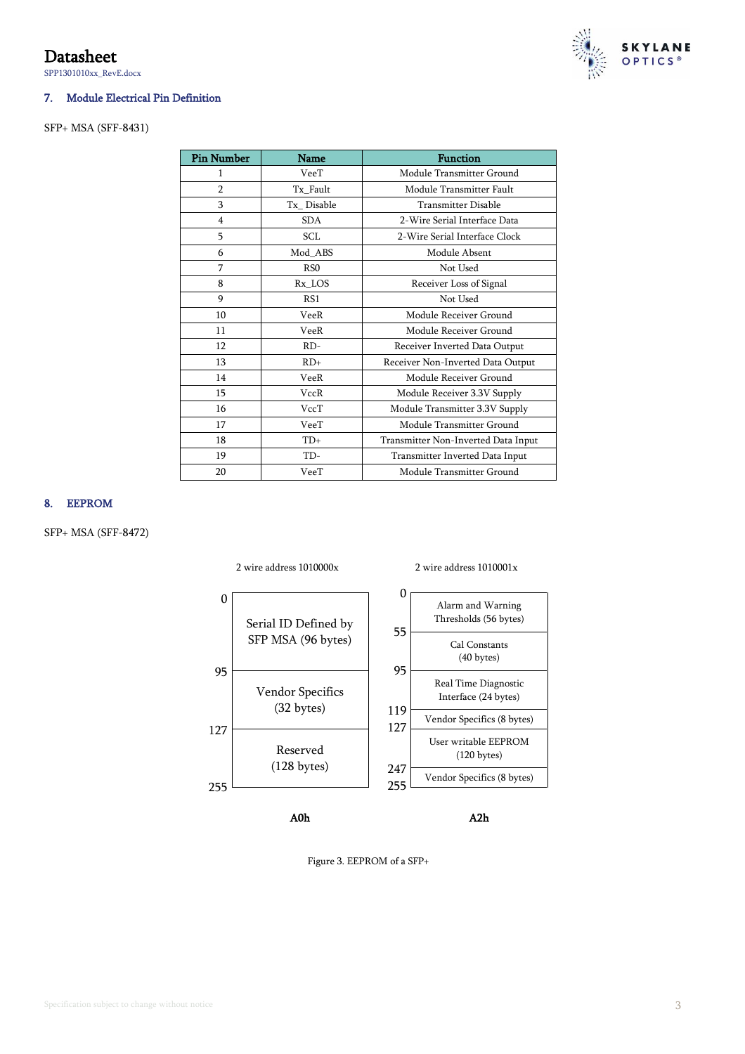# Datasheet

SPP1301010xx\_RevE.docx

#### 7. Module Electrical Pin Definition

#### SFP+ MSA (SFF-8431)

| <b>Pin Number</b> | <b>Name</b>      | <b>Function</b>                     |  |  |
|-------------------|------------------|-------------------------------------|--|--|
| 1                 | VeeT             | Module Transmitter Ground           |  |  |
| $\overline{2}$    | Tx Fault         | Module Transmitter Fault            |  |  |
| 3                 | Tx Disable       | <b>Transmitter Disable</b>          |  |  |
| 4                 | <b>SDA</b>       | 2-Wire Serial Interface Data        |  |  |
| 5                 | SCL              | 2-Wire Serial Interface Clock       |  |  |
| 6                 | Mod ABS          | Module Absent                       |  |  |
| 7                 | R <sub>S</sub> O | Not Used                            |  |  |
| 8                 | Rx LOS           | Receiver Loss of Signal             |  |  |
| 9                 | RS1              | Not Used                            |  |  |
| 10                | VeeR             | Module Receiver Ground              |  |  |
| 11                | VeeR             | Module Receiver Ground              |  |  |
| 12                | $RD-$            | Receiver Inverted Data Output       |  |  |
| 13                | $RD+$            | Receiver Non-Inverted Data Output   |  |  |
| 14                | VeeR             | Module Receiver Ground              |  |  |
| 15                | <b>VccR</b>      | Module Receiver 3.3V Supply         |  |  |
| 16                | VccT             | Module Transmitter 3.3V Supply      |  |  |
| 17                | VeeT             | Module Transmitter Ground           |  |  |
| 18                | $TD+$            | Transmitter Non-Inverted Data Input |  |  |
| 19                | TD-              | Transmitter Inverted Data Input     |  |  |
| 20                | VeeT             | Module Transmitter Ground           |  |  |

#### 8. EEPROM

SFP+ MSA (SFF-8472)